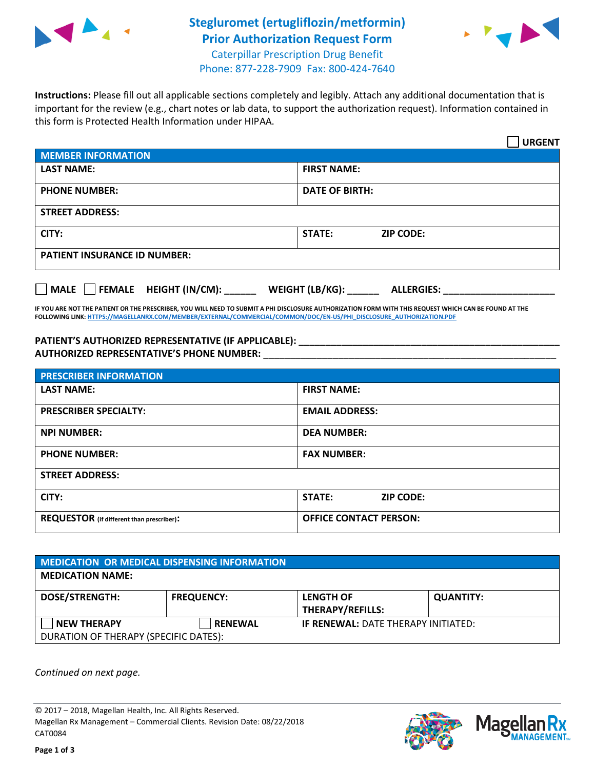

## **Stegluromet (ertugliflozin/metformin) Prior Authorization Request Form** Caterpillar Prescription Drug Benefit



Phone: 877-228-7909 Fax: 800-424-7640

**Instructions:** Please fill out all applicable sections completely and legibly. Attach any additional documentation that is important for the review (e.g., chart notes or lab data, to support the authorization request). Information contained in this form is Protected Health Information under HIPAA.

|                                            | <b>URGENT</b>                        |  |
|--------------------------------------------|--------------------------------------|--|
| <b>MEMBER INFORMATION</b>                  |                                      |  |
| <b>LAST NAME:</b>                          | <b>FIRST NAME:</b>                   |  |
| <b>PHONE NUMBER:</b>                       | <b>DATE OF BIRTH:</b>                |  |
| <b>STREET ADDRESS:</b>                     |                                      |  |
| CITY:                                      | STATE:<br><b>ZIP CODE:</b>           |  |
| <b>PATIENT INSURANCE ID NUMBER:</b>        |                                      |  |
| FEMALE HEIGHT (IN/CM):<br>$ $ MALE $ $ $ $ | WEIGHT (LB/KG):<br><b>ALLERGIES:</b> |  |

**IF YOU ARE NOT THE PATIENT OR THE PRESCRIBER, YOU WILL NEED TO SUBMIT A PHI DISCLOSURE AUTHORIZATION FORM WITH THIS REQUEST WHICH CAN BE FOUND AT THE FOLLOWING LINK[: HTTPS://MAGELLANRX.COM/MEMBER/EXTERNAL/COMMERCIAL/COMMON/DOC/EN-US/PHI\\_DISCLOSURE\\_AUTHORIZATION.PDF](https://magellanrx.com/member/external/commercial/common/doc/en-us/PHI_Disclosure_Authorization.pdf)**

PATIENT'S AUTHORIZED REPRESENTATIVE (IF APPLICABLE): **AUTHORIZED REPRESENTATIVE'S PHONE NUMBER:** \_\_\_\_\_\_\_\_\_\_\_\_\_\_\_\_\_\_\_\_\_\_\_\_\_\_\_\_\_\_\_\_\_\_\_\_\_\_\_\_\_\_\_\_\_\_\_\_\_\_\_\_\_\_\_

| <b>PRESCRIBER INFORMATION</b>             |                                   |  |
|-------------------------------------------|-----------------------------------|--|
| <b>LAST NAME:</b>                         | <b>FIRST NAME:</b>                |  |
| <b>PRESCRIBER SPECIALTY:</b>              | <b>EMAIL ADDRESS:</b>             |  |
| <b>NPI NUMBER:</b>                        | <b>DEA NUMBER:</b>                |  |
| <b>PHONE NUMBER:</b>                      | <b>FAX NUMBER:</b>                |  |
| <b>STREET ADDRESS:</b>                    |                                   |  |
| CITY:                                     | <b>STATE:</b><br><b>ZIP CODE:</b> |  |
| REQUESTOR (if different than prescriber): | <b>OFFICE CONTACT PERSON:</b>     |  |

| <b>MEDICATION OR MEDICAL DISPENSING INFORMATION</b> |                   |                                            |                  |  |  |
|-----------------------------------------------------|-------------------|--------------------------------------------|------------------|--|--|
| <b>MEDICATION NAME:</b>                             |                   |                                            |                  |  |  |
| <b>DOSE/STRENGTH:</b>                               | <b>FREQUENCY:</b> | <b>LENGTH OF</b>                           | <b>QUANTITY:</b> |  |  |
|                                                     |                   | <b>THERAPY/REFILLS:</b>                    |                  |  |  |
| <b>NEW THERAPY</b>                                  | <b>RENEWAL</b>    | <b>IF RENEWAL: DATE THERAPY INITIATED:</b> |                  |  |  |
| DURATION OF THERAPY (SPECIFIC DATES):               |                   |                                            |                  |  |  |

*Continued on next page.*

© 2017 – 2018, Magellan Health, Inc. All Rights Reserved. Magellan Rx Management – Commercial Clients. Revision Date: 08/22/2018 CAT0084



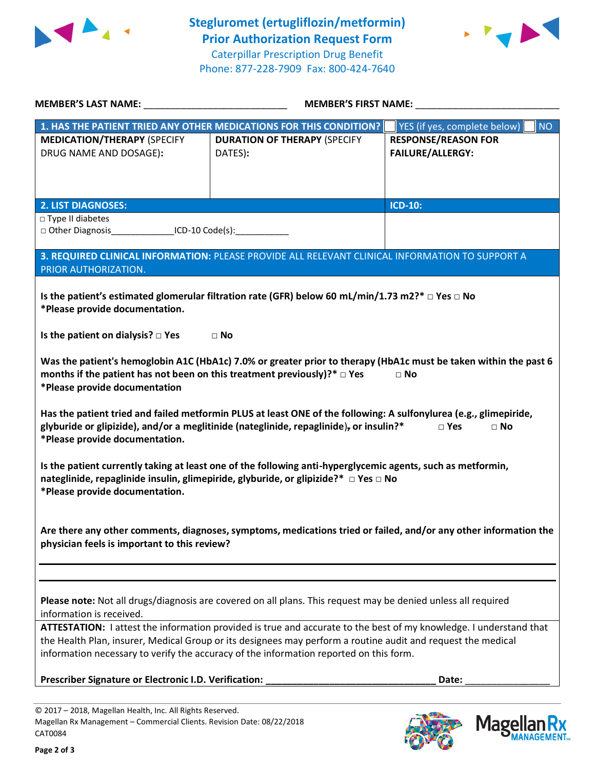



| MEMBER'S LAST NAME: NAME:                                                                                                                      | <b>MEMBER'S FIRST NAME:</b>                                                                                                                                                                                                                                                                                                  |                                                       |  |
|------------------------------------------------------------------------------------------------------------------------------------------------|------------------------------------------------------------------------------------------------------------------------------------------------------------------------------------------------------------------------------------------------------------------------------------------------------------------------------|-------------------------------------------------------|--|
|                                                                                                                                                | 1. HAS THE PATIENT TRIED ANY OTHER MEDICATIONS FOR THIS CONDITION?                                                                                                                                                                                                                                                           | YES (if yes, complete below)<br><b>NO</b>             |  |
| <b>MEDICATION/THERAPY (SPECIFY</b><br>DRUG NAME AND DOSAGE):                                                                                   | <b>DURATION OF THERAPY (SPECIFY</b><br>DATES):                                                                                                                                                                                                                                                                               | <b>RESPONSE/REASON FOR</b><br><b>FAILURE/ALLERGY:</b> |  |
| <b>2. LIST DIAGNOSES:</b>                                                                                                                      |                                                                                                                                                                                                                                                                                                                              | <b>ICD-10:</b>                                        |  |
| □ Type II diabetes<br>□ Other Diagnosis________________ICD-10 Code(s):____________                                                             |                                                                                                                                                                                                                                                                                                                              |                                                       |  |
| PRIOR AUTHORIZATION.                                                                                                                           | 3. REQUIRED CLINICAL INFORMATION: PLEASE PROVIDE ALL RELEVANT CLINICAL INFORMATION TO SUPPORT A                                                                                                                                                                                                                              |                                                       |  |
| *Please provide documentation.                                                                                                                 | Is the patient's estimated glomerular filtration rate (GFR) below 60 mL/min/1.73 m2?* $\Box$ Yes $\Box$ No                                                                                                                                                                                                                   |                                                       |  |
| Is the patient on dialysis? $\square$ Yes                                                                                                      | $\Box$ No                                                                                                                                                                                                                                                                                                                    |                                                       |  |
| months if the patient has not been on this treatment previously)?* $\Box$ Yes<br>*Please provide documentation                                 | Was the patient's hemoglobin A1C (HbA1c) 7.0% or greater prior to therapy (HbA1c must be taken within the past 6                                                                                                                                                                                                             | $\Box$ No                                             |  |
| *Please provide documentation.                                                                                                                 | Has the patient tried and failed metformin PLUS at least ONE of the following: A sulfonylurea (e.g., glimepiride,<br>glyburide or glipizide), and/or a meglitinide (nateglinide, repaglinide), or insulin?*                                                                                                                  | $\square$ Yes<br>$\Box$ No                            |  |
| *Please provide documentation.                                                                                                                 | Is the patient currently taking at least one of the following anti-hyperglycemic agents, such as metformin,<br>nateglinide, repaglinide insulin, glimepiride, glyburide, or glipizide?* □ Yes □ No                                                                                                                           |                                                       |  |
| physician feels is important to this review?                                                                                                   | Are there any other comments, diagnoses, symptoms, medications tried or failed, and/or any other information the                                                                                                                                                                                                             |                                                       |  |
| information is received.                                                                                                                       | Please note: Not all drugs/diagnosis are covered on all plans. This request may be denied unless all required                                                                                                                                                                                                                |                                                       |  |
|                                                                                                                                                | ATTESTATION: I attest the information provided is true and accurate to the best of my knowledge. I understand that<br>the Health Plan, insurer, Medical Group or its designees may perform a routine audit and request the medical<br>information necessary to verify the accuracy of the information reported on this form. |                                                       |  |
| Prescriber Signature or Electronic I.D. Verification:                                                                                          |                                                                                                                                                                                                                                                                                                                              | Date:                                                 |  |
| © 2017 - 2018, Magellan Health, Inc. All Rights Reserved.<br>Magellan Rx Management - Commercial Clients. Revision Date: 08/22/2018<br>CAT0084 |                                                                                                                                                                                                                                                                                                                              | <b>Magella</b>                                        |  |